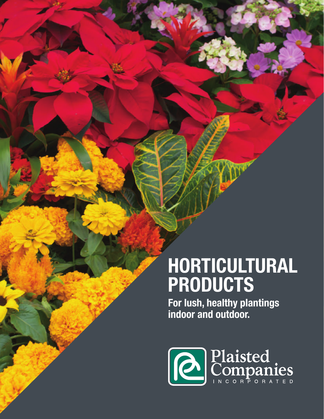# **HORTICULTURAL PRODUCTS**

**For lush, healthy plantings indoor and outdoor.**

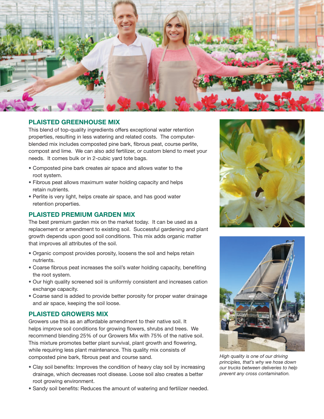

## **PLAISTED GREENHOUSE MIX**

This blend of top-quality ingredients offers exceptional water retention properties, resulting in less watering and related costs. The computerblended mix includes composted pine bark, fibrous peat, course perlite, compost and lime. We can also add fertilizer, or custom blend to meet your needs. It comes bulk or in 2-cubic yard tote bags.

- • Composted pine bark creates air space and allows water to the root system.
- Fibrous peat allows maximum water holding capacity and helps retain nutrients.
- Perlite is very light, helps create air space, and has good water retention properties.

## **PLAISTED PREMIUM GARDEN MIX**

The best premium garden mix on the market today. It can be used as a replacement or amendment to existing soil. Successful gardening and plant growth depends upon good soil conditions. This mix adds organic matter that improves all attributes of the soil.

- • Organic compost provides porosity, loosens the soil and helps retain nutrients.
- • Coarse fibrous peat increases the soil's water holding capacity, benefiting the root system.
- Our high quality screened soil is uniformly consistent and increases cation exchange capacity.
- Coarse sand is added to provide better porosity for proper water drainage and air space, keeping the soil loose.

## **PLAISTED GROWERS MIX**

Growers use this as an affordable amendment to their native soil. It helps improve soil conditions for growing flowers, shrubs and trees. We recommend blending 25% of our Growers Mix with 75% of the native soil. This mixture promotes better plant survival, plant growth and flowering, while requiring less plant maintenance. This quality mix consists of composted pine bark, fibrous peat and course sand.

- Clay soil benefits: Improves the condition of heavy clay soil by increasing drainage, which decreases root disease. Loose soil also creates a better root growing environment.
- Sandy soil benefits: Reduces the amount of watering and fertilizer needed.





*High quality is one of our driving principles, that's why we hose down our trucks between deliveries to help prevent any cross contamination.*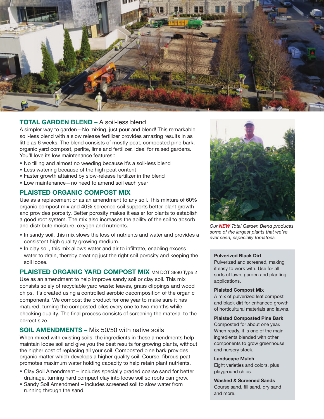

## **TOTAL GARDEN BLEND –** A soil-less blend

A simpler way to garden—No mixing, just pour and blend! This remarkable soil-less blend with a slow release fertilizer provides amazing results in as little as 6 weeks. The blend consists of mostly peat, composted pine bark, organic yard compost, perlite, lime and fertilizer. Ideal for raised gardens. You'll love its low maintenance features::

- No tilling and almost no weeding because it's a soil-less blend
- Less watering because of the high peat content
- Faster growth attained by slow-release fertilizer in the blend
- Low maintenance—no need to amend soil each year

## **PLAISTED ORGANIC COMPOST MIX**

Use as a replacement or as an amendment to any soil. This mixture of 60% organic compost mix and 40% screened soil supports better plant growth and provides porosity. Better porosity makes it easier for plants to establish a good root system. The mix also increases the ability of the soil to absorb and distribute moisture, oxygen and nutrients.

- In sandy soil, this mix slows the loss of nutrients and water and provides a consistent high quality growing medium.
- In clay soil, this mix allows water and air to infiltrate, enabling excess water to drain, thereby creating just the right soil porosity and keeping the soil loose.

**PLAISTED ORGANIC YARD COMPOST MIX MN DOT 3890 Type 2** Use as an amendment to help improve sandy soil or clay soil. This mix consists solely of recyclable yard waste: leaves, grass clippings and wood chips. It's created using a controlled aerobic decomposition of the organic components. We compost the product for one year to make sure it has matured, turning the composted piles every one to two months while checking quality. The final process consists of screening the material to the correct size.

## **SOIL AMENDMENTS –** Mix 50/50 with native soils

When mixed with existing soils, the ingredients in these amendments help maintain loose soil and give you the best results for growing plants, without the higher cost of replacing all your soil. Composted pine bark provides organic matter which develops a higher quality soil. Course, fibrous peat promotes maximum water holding capacity to help retain plant nutrients.

- Clay Soil Amendment includes specially graded coarse sand for better drainage, turning hard compact clay into loose soil so roots can grow.
- Sandy Soil Amendment includes screened soil to slow water from running through the sand.



*Our NEW Total Garden Blend produces some of the largest plants that we've ever seen, especially tomatoes.*

#### **Pulverized Black Dirt**

Pulverized and screened, making it easy to work with. Use for all sorts of lawn, garden and planting applications.

#### **Plaisted Compost Mix**

A mix of pulverized leaf compost and black dirt for enhanced growth of horticultural materials and lawns.

#### **Plaisted Composted Pine Bark**

Composted for about one year. When ready, it is one of the main ingredients blended with other components to grow greenhouse and nursery stock.

#### **Landscape Mulch**

Eight varieties and colors, plus playground chips.

**Washed & Screened Sands**  Course sand, fill sand, dry sand and more.